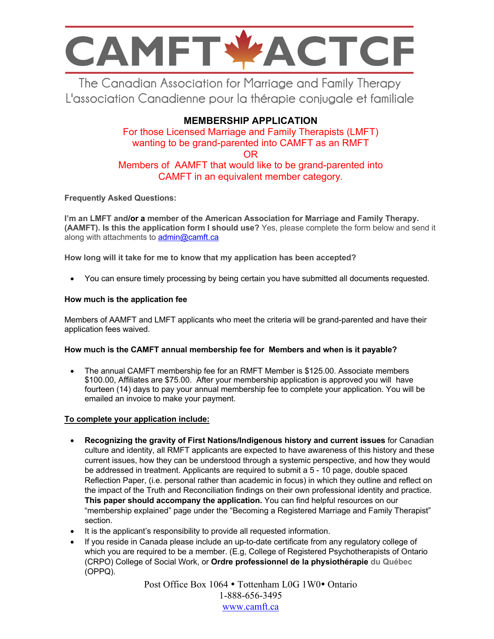

The Canadian Association for Marriage and Family Therapy L'association Canadienne pour la thérapie conjugale et familiale

### **MEMBERSHIP APPLICATION**

For those Licensed Marriage and Family Therapists (LMFT) wanting to be grand-parented into CAMFT as an RMFT OR Members of AAMFT that would like to be grand-parented into CAMFT in an equivalent member category.

**Frequently Asked Questions:**

**I'm an LMFT and/or a member of the American Association for Marriage and Family Therapy. (AAMFT). Is this the application form I should use?** Yes, please complete the form below and send it along with attachments to admin@camft.ca

**How long will it take for me to know that my application has been accepted?** 

• You can ensure timely processing by being certain you have submitted all documents requested.

#### **How much is the application fee**

Members of AAMFT and LMFT applicants who meet the criteria will be grand-parented and have their application fees waived.

#### **How much is the CAMFT annual membership fee for Members and when is it payable?**

• The annual CAMFT membership fee for an RMFT Member is \$125.00. Associate members \$100.00, Affiliates are \$75.00. After your membership application is approved you will have fourteen (14) days to pay your annual membership fee to complete your application. You will be emailed an invoice to make your payment.

#### **To complete your application include:**

- **Recognizing the gravity of First Nations/Indigenous history and current issues** for Canadian culture and identity, all RMFT applicants are expected to have awareness of this history and these current issues, how they can be understood through a systemic perspective, and how they would be addressed in treatment. Applicants are required to submit a 5 - 10 page, double spaced Reflection Paper, (i.e. personal rather than academic in focus) in which they outline and reflect on the impact of the Truth and Reconciliation findings on their own professional identity and practice. **This paper should accompany the application.** You can find helpful resources on our "membership explained" page under the "Becoming a Registered Marriage and Family Therapist" section.
- It is the applicant's responsibility to provide all requested information.
- If you reside in Canada please include an up-to-date certificate from any regulatory college of which you are required to be a member. (E.g, College of Registered Psychotherapists of Ontario (CRPO) College of Social Work, or **Ordre professionnel de la physiothérapie du Québec** (OPPQ).

Post Office Box 1064 • Tottenham L0G 1W0• Ontario 1-888-656-3495 www.camft.ca